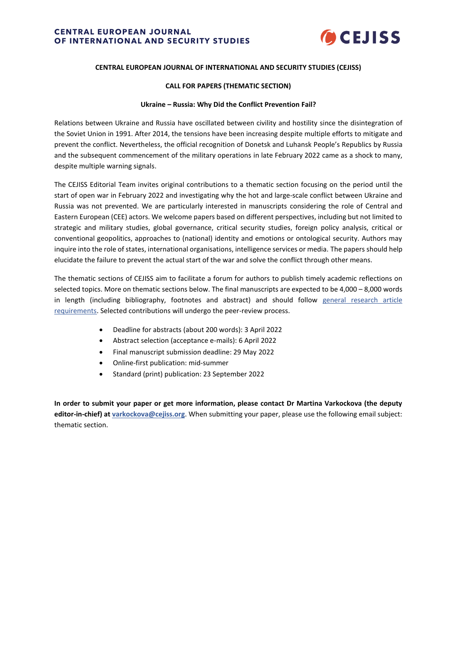

### **CENTRAL EUROPEAN JOURNAL OF INTERNATIONAL AND SECURITY STUDIES (CEJISS)**

### **CALL FOR PAPERS (THEMATIC SECTION)**

#### **Ukraine – Russia: Why Did the Conflict Prevention Fail?**

Relations between Ukraine and Russia have oscillated between civility and hostility since the disintegration of the Soviet Union in 1991. After 2014, the tensions have been increasing despite multiple efforts to mitigate and prevent the conflict. Nevertheless, the official recognition of Donetsk and Luhansk People's Republics by Russia and the subsequent commencement of the military operations in late February 2022 came as a shock to many, despite multiple warning signals.

The CEJISS Editorial Team invites original contributions to a thematic section focusing on the period until the start of open war in February 2022 and investigating why the hot and large-scale conflict between Ukraine and Russia was not prevented. We are particularly interested in manuscripts considering the role of Central and Eastern European (CEE) actors. We welcome papers based on different perspectives, including but not limited to strategic and military studies, global governance, critical security studies, foreign policy analysis, critical or conventional geopolitics, approaches to (national) identity and emotions or ontological security. Authors may inquire into the role of states, international organisations, intelligence services or media. The papers should help elucidate the failure to prevent the actual start of the war and solve the conflict through other means.

The thematic sections of CEJISS aim to facilitate a forum for authors to publish timely academic reflections on selected topics. More on thematic sections below. The final manuscripts are expected to be 4,000 – 8,000 words in length (including bibliography, footnotes and abstract) and should follow general research article [requirements.](https://www.cejiss.org/research-articles-principles-and-requirements) Selected contributions will undergo the peer-review process.

- Deadline for abstracts (about 200 words): 3 April 2022
- Abstract selection (acceptance e-mails): 6 April 2022
- Final manuscript submission deadline: 29 May 2022
- Online-first publication: mid-summer
- Standard (print) publication: 23 September 2022

**In order to submit your paper or get more information, please contact Dr Martina Varkockova (the deputy editor-in-chief) at [varkockova@cejiss.org](mailto:varkockova@cejiss.org)**. When submitting your paper, please use the following email subject: thematic section.